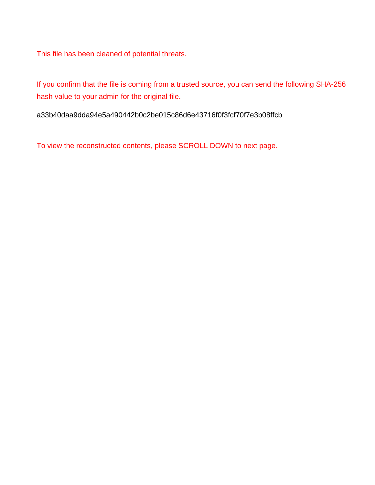This file has been cleaned of potential threats.

If you confirm that the file is coming from a trusted source, you can send the following SHA-256 hash value to your admin for the original file.

a33b40daa9dda94e5a490442b0c2be015c86d6e43716f0f3fcf70f7e3b08ffcb

To view the reconstructed contents, please SCROLL DOWN to next page.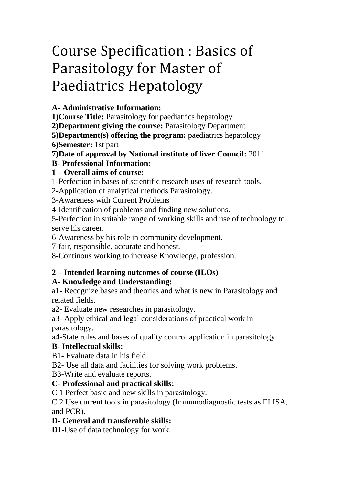# Course Specification : Basics of Parasitology for Master of Paediatrics Hepatology

**A- Administrative Information:**

**1)Course Title:** Parasitology for paediatrics hepatology

**2)Department giving the course:** Parasitology Department

**5)Department(s) offering the program:** paediatrics hepatology **6)Semester:** 1st part

**7)Date of approval by National institute of liver Council:** 2011

## **B- Professional Information:**

## **1 – Overall aims of course:**

1-Perfection in bases of scientific research uses of research tools.

2-Application of analytical methods Parasitology.

3-Awareness with Current Problems

4-Identification of problems and finding new solutions.

5-Perfection in suitable range of working skills and use of technology to serve his career.

6-Awareness by his role in community development.

7-fair, responsible, accurate and honest.

8-Continous working to increase Knowledge, profession.

## **2 – Intended learning outcomes of course (ILOs)**

## **A- Knowledge and Understanding:**

a1- Recognize bases and theories and what is new in Parasitology and related fields.

a2- Evaluate new researches in parasitology.

a3- Apply ethical and legal considerations of practical work in parasitology.

a4-State rules and bases of quality control application in parasitology.

## **B- Intellectual skills:**

B1- Evaluate data in his field.

B2- Use all data and facilities for solving work problems.

B3-Write and evaluate reports.

## **C- Professional and practical skills:**

C 1 Perfect basic and new skills in parasitology.

C 2 Use current tools in parasitology (Immunodiagnostic tests as ELISA, and PCR).

## **D- General and transferable skills:**

**D1-**Use of data technology for work.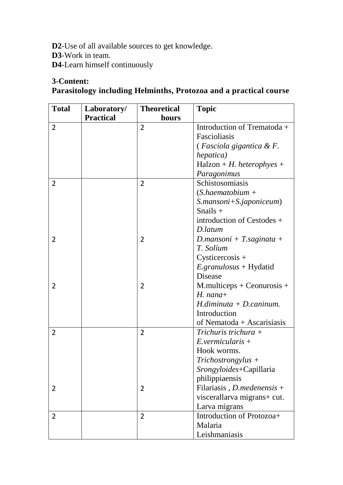**D2**-Use of all available sources to get knowledge. **D3**-Work in team. **D4**-Learn himself continuously

#### **3-Content:**

## **Parasitology including Helminths, Protozoa and a practical course**

| <b>Total</b>   | Laboratory/<br><b>Practical</b> | <b>Theoretical</b><br>hours | <b>Topic</b>                                   |
|----------------|---------------------------------|-----------------------------|------------------------------------------------|
| $\overline{2}$ |                                 | $\overline{2}$              | Introduction of Trematoda +                    |
|                |                                 |                             | Fascioliasis                                   |
|                |                                 |                             | (Fasciola gigantica & F.                       |
|                |                                 |                             | hepatica)                                      |
|                |                                 |                             | $H$ alzon + H. heterophyes +                   |
|                |                                 |                             | Paragonimus                                    |
| $\overline{2}$ |                                 | $\overline{2}$              | Schistosomiasis                                |
|                |                                 |                             | $(S.haematobium +$                             |
|                |                                 |                             | $S.$ <i>mansoni</i> + $S.$ <i>japoniceum</i> ) |
|                |                                 |                             | Snails $+$                                     |
|                |                                 |                             | introduction of Cestodes +                     |
|                |                                 |                             | D.latum                                        |
| 2              |                                 | $\overline{2}$              | D.mansoni + T.saginata +                       |
|                |                                 |                             | T. Solium                                      |
|                |                                 |                             | $Cysticercosis +$                              |
|                |                                 |                             | $E. granulosus + Hydatid$                      |
|                |                                 |                             | <b>Disease</b>                                 |
| 2              |                                 | $\overline{2}$              | $M$ .multiceps + Ceonurosis +                  |
|                |                                 |                             | $H.$ nana+                                     |
|                |                                 |                             | $H$ . diminuta + D. caninum.                   |
|                |                                 |                             | Introduction                                   |
|                |                                 |                             | of Nematoda + Ascarisiasis                     |
| $\overline{2}$ |                                 | $\overline{2}$              | Trichuris trichura $+$                         |
|                |                                 |                             | $E.$ vermicularis +                            |
|                |                                 |                             | Hook worms.                                    |
|                |                                 |                             | $Trichostrongylus +$                           |
|                |                                 |                             | Srongyloides+Capillaria                        |
|                |                                 |                             | philippiaensis                                 |
| 2              |                                 | 2                           | Filariasis, $D$ . <i>medenensis</i> +          |
|                |                                 |                             | viscerallarva migrans+ cut.                    |
|                |                                 |                             | Larva migrans                                  |
| 2              |                                 | 2                           | Introduction of Protozoa+                      |
|                |                                 |                             | Malaria                                        |
|                |                                 |                             | Leishmaniasis                                  |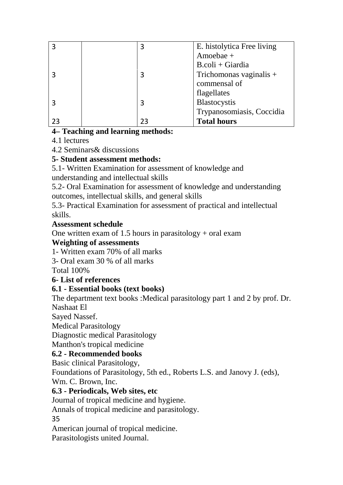| 3 | E. histolytica Free living |
|---|----------------------------|
|   | Amoebae +                  |
|   | $B. coli + Giardia$        |
| 3 | Trichomonas vaginalis +    |
|   | commensal of               |
|   | flagellates                |
| 3 | Blastocystis               |
|   | Trypanosomiasis, Coccidia  |
|   | <b>Total hours</b>         |

## **4– Teaching and learning methods:**

4.1 lectures

4.2 Seminars& discussions

## **5- Student assessment methods:**

5.1- Written Examination for assessment of knowledge and understanding and intellectual skills

5.2- Oral Examination for assessment of knowledge and understanding outcomes, intellectual skills, and general skills

5.3- Practical Examination for assessment of practical and intellectual skills.

## **Assessment schedule**

One written exam of 1.5 hours in parasitology  $+$  oral exam

#### **Weighting of assessments**

1- Written exam 70% of all marks

3- Oral exam 30 % of all marks

Total 100%

## **6- List of references**

## **6.1 - Essential books (text books)**

The department text books :Medical parasitology part 1 and 2 by prof. Dr. Nashaat El

Sayed Nassef.

Medical Parasitology

Diagnostic medical Parasitology

Manthon's tropical medicine

## **6.2 - Recommended books**

Basic clinical Parasitology,

Foundations of Parasitology, 5th ed., Roberts L.S. and Janovy J. (eds), Wm. C. Brown, Inc.

**6.3 - Periodicals, Web sites, etc**

Journal of tropical medicine and hygiene.

Annals of tropical medicine and parasitology.

35

American journal of tropical medicine.

Parasitologists united Journal.